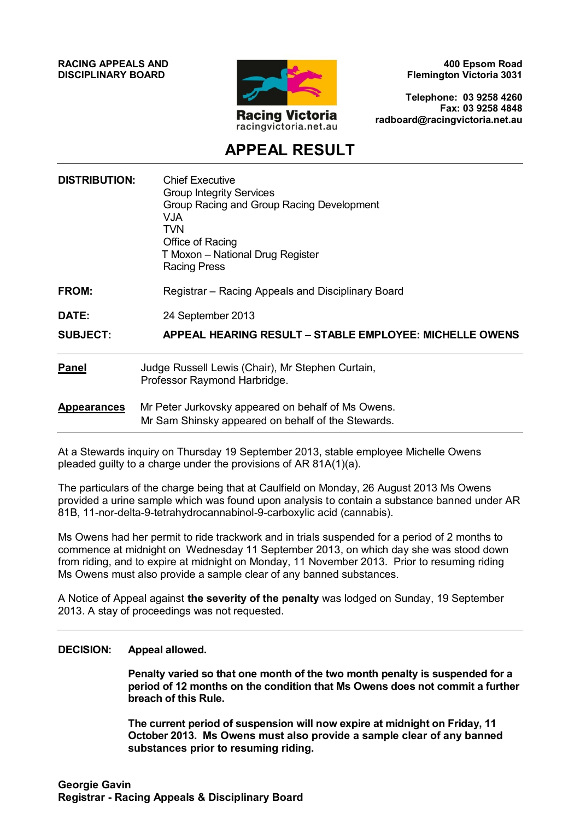**RACING APPEALS AND DISCIPLINARY BOARD**



**400 Epsom Road Flemington Victoria 3031**

**Telephone: 03 9258 4260 Fax: 03 9258 4848 radboard@racingvictoria.net.au**

## **APPEAL RESULT**

| <b>DISTRIBUTION:</b> | <b>Chief Executive</b><br><b>Group Integrity Services</b><br>Group Racing and Group Racing Development<br><b>VJA</b><br>TVN<br>Office of Racing<br>T Moxon - National Drug Register<br><b>Racing Press</b> |
|----------------------|------------------------------------------------------------------------------------------------------------------------------------------------------------------------------------------------------------|
| <b>FROM:</b>         | Registrar – Racing Appeals and Disciplinary Board                                                                                                                                                          |
| DATE:                | 24 September 2013                                                                                                                                                                                          |
| <b>SUBJECT:</b>      | <b>APPEAL HEARING RESULT - STABLE EMPLOYEE: MICHELLE OWENS</b>                                                                                                                                             |
| <b>Panel</b>         | Judge Russell Lewis (Chair), Mr Stephen Curtain,<br>Professor Raymond Harbridge.                                                                                                                           |
| <b>Appearances</b>   | Mr Peter Jurkovsky appeared on behalf of Ms Owens.<br>Mr Sam Shinsky appeared on behalf of the Stewards.                                                                                                   |
|                      |                                                                                                                                                                                                            |

At a Stewards inquiry on Thursday 19 September 2013, stable employee Michelle Owens pleaded guilty to a charge under the provisions of AR 81A(1)(a).

The particulars of the charge being that at Caulfield on Monday, 26 August 2013 Ms Owens provided a urine sample which was found upon analysis to contain a substance banned under AR 81B, 11-nor-delta-9-tetrahydrocannabinol-9-carboxylic acid (cannabis).

Ms Owens had her permit to ride trackwork and in trials suspended for a period of 2 months to commence at midnight on Wednesday 11 September 2013, on which day she was stood down from riding, and to expire at midnight on Monday, 11 November 2013. Prior to resuming riding Ms Owens must also provide a sample clear of any banned substances.

A Notice of Appeal against **the severity of the penalty** was lodged on Sunday, 19 September 2013. A stay of proceedings was not requested.

#### **DECISION: Appeal allowed.**

**Penalty varied so that one month of the two month penalty is suspended for a period of 12 months on the condition that Ms Owens does not commit a further breach of this Rule.** 

**The current period of suspension will now expire at midnight on Friday, 11 October 2013. Ms Owens must also provide a sample clear of any banned substances prior to resuming riding.**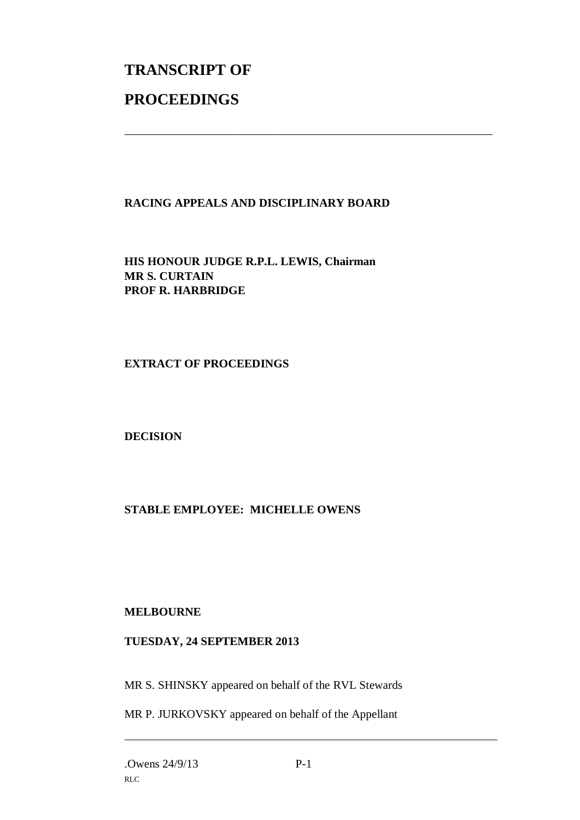# **TRANSCRIPT OF PROCEEDINGS**

### **RACING APPEALS AND DISCIPLINARY BOARD**

\_\_\_\_\_\_\_\_\_\_\_\_\_\_\_\_\_\_\_\_\_\_\_\_\_\_\_\_\_\_\_\_\_\_\_\_\_\_\_\_\_\_\_\_\_\_\_\_\_\_\_\_\_\_\_\_\_\_\_\_\_\_\_

**HIS HONOUR JUDGE R.P.L. LEWIS, Chairman MR S. CURTAIN PROF R. HARBRIDGE**

#### **EXTRACT OF PROCEEDINGS**

#### **DECISION**

#### **STABLE EMPLOYEE: MICHELLE OWENS**

#### **MELBOURNE**

#### **TUESDAY, 24 SEPTEMBER 2013**

MR S. SHINSKY appeared on behalf of the RVL Stewards

MR P. JURKOVSKY appeared on behalf of the Appellant